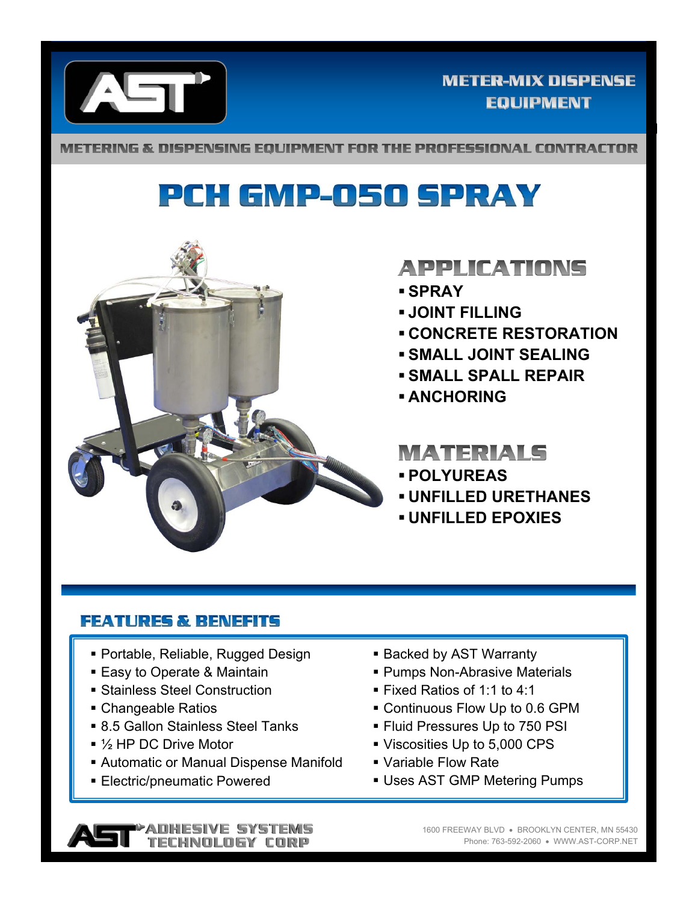

#### **METER-MIX DISPENSE EQUIPMENT**

METERING & DISPENSING EQUIPMENT FOR THE PROFESSIONAL CONTRACTOR

# PCH GMP-050 SPRAY



### **APPLICATIONS**

- **SPRAY**
- **JOINT FILLING**
- **CONCRETE RESTORATION**
- **SMALL JOINT SEALING**
- **SMALL SPALL REPAIR**
- **ANCHORING**

### **MATERIALS**

- **POLYUREAS**
- **UNFILLED URETHANES**
- **UNFILLED EPOXIES**

#### **FEATURES & BENEFITS**

- Portable, Reliable, Rugged Design
- Easy to Operate & Maintain
- Stainless Steel Construction
- Changeable Ratios
- 8.5 Gallon Stainless Steel Tanks
- 1/<sub>2</sub> HP DC Drive Motor
- Automatic or Manual Dispense Manifold
- **Electric/pneumatic Powered**
- **Backed by AST Warranty**
- Pumps Non-Abrasive Materials
- Fixed Ratios of 1:1 to 4:1
- Continuous Flow Up to 0.6 GPM
- **Fluid Pressures Up to 750 PSI**
- Viscosities Up to 5,000 CPS
- Variable Flow Rate
- Uses AST GMP Metering Pumps

1600 FREEWAY BLVD . BROOKLYN CENTER, MN 55430 Phone: 763-592-2060 WWW.AST-CORP.NET